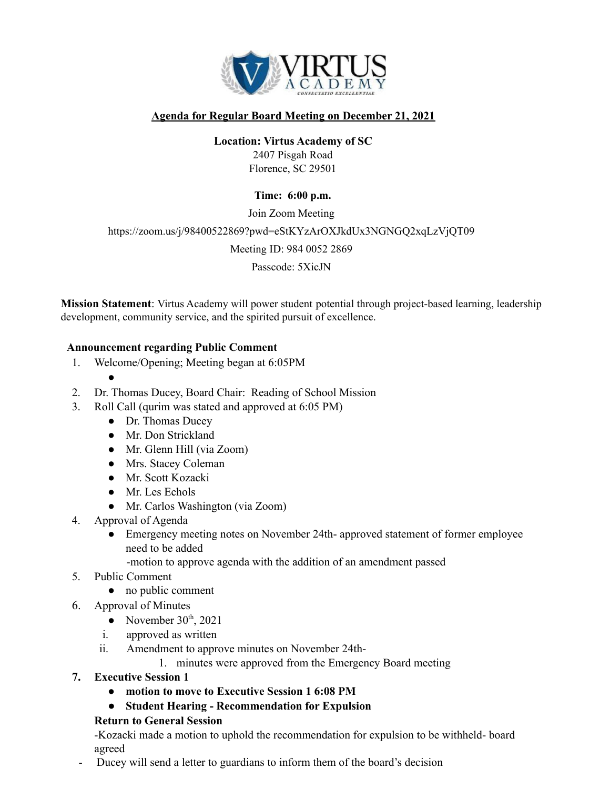

### **Agenda for Regular Board Meeting on December 21, 2021**

## **Location: Virtus Academy of SC**

2407 Pisgah Road Florence, SC 29501

#### **Time: 6:00 p.m.**

Join Zoom Meeting https://zoom.us/j/98400522869?pwd=eStKYzArOXJkdUx3NGNGQ2xqLzVjQT09 Meeting ID: 984 0052 2869

Passcode: 5XicJN

**Mission Statement**: Virtus Academy will power student potential through project-based learning, leadership development, community service, and the spirited pursuit of excellence.

#### **Announcement regarding Public Comment**

- 1. Welcome/Opening; Meeting began at 6:05PM
	-

●

- 2. Dr. Thomas Ducey, Board Chair: Reading of School Mission
- 3. Roll Call (qurim was stated and approved at 6:05 PM)
	- Dr. Thomas Ducey
	- Mr. Don Strickland
	- Mr. Glenn Hill (via Zoom)
	- Mrs. Stacey Coleman
	- Mr. Scott Kozacki
	- Mr. Les Echols
	- Mr. Carlos Washington (via Zoom)
- 4. Approval of Agenda
	- Emergency meeting notes on November 24th- approved statement of former employee need to be added
		- -motion to approve agenda with the addition of an amendment passed
- 5. Public Comment
	- no public comment
- 6. Approval of Minutes
	- November  $30<sup>th</sup>$ , 2021
	- i. approved as written
	- ii. Amendment to approve minutes on November 24th-
		- 1. minutes were approved from the Emergency Board meeting
- **7. Executive Session 1**
	- **● motion to move to Executive Session 1 6:08 PM**
	- **● Student Hearing - Recommendation for Expulsion**

#### **Return to General Session**

-Kozacki made a motion to uphold the recommendation for expulsion to be withheld- board agreed

Ducey will send a letter to guardians to inform them of the board's decision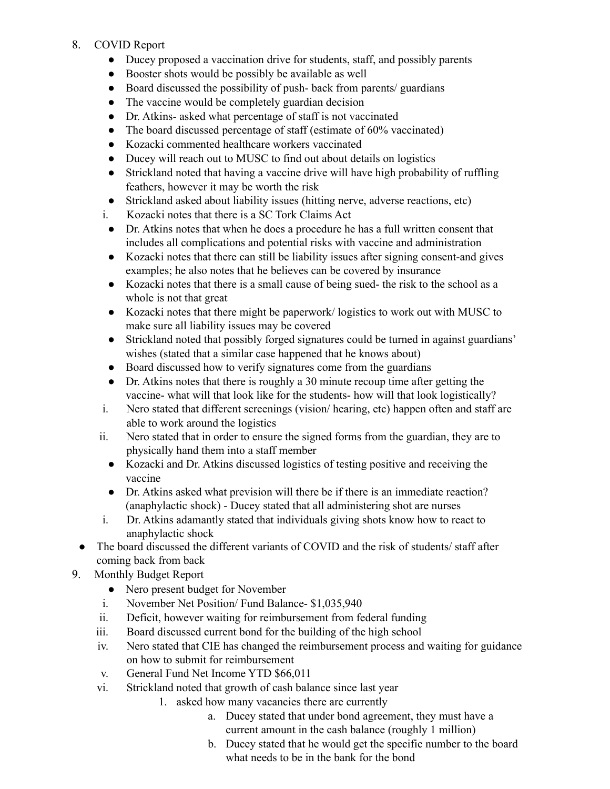## 8. COVID Report

- Ducey proposed a vaccination drive for students, staff, and possibly parents
- Booster shots would be possibly be available as well
- Board discussed the possibility of push-back from parents/ guardians
- The vaccine would be completely guardian decision
- Dr. Atkins- asked what percentage of staff is not vaccinated
- The board discussed percentage of staff (estimate of 60% vaccinated)
- Kozacki commented healthcare workers vaccinated
- Ducey will reach out to MUSC to find out about details on logistics
- Strickland noted that having a vaccine drive will have high probability of ruffling feathers, however it may be worth the risk
- Strickland asked about liability issues (hitting nerve, adverse reactions, etc)
- i. Kozacki notes that there is a SC Tork Claims Act
- Dr. Atkins notes that when he does a procedure he has a full written consent that includes all complications and potential risks with vaccine and administration
- Kozacki notes that there can still be liability issues after signing consent-and gives examples; he also notes that he believes can be covered by insurance
- Kozacki notes that there is a small cause of being sued- the risk to the school as a whole is not that great
- Kozacki notes that there might be paperwork/ logistics to work out with MUSC to make sure all liability issues may be covered
- Strickland noted that possibly forged signatures could be turned in against guardians' wishes (stated that a similar case happened that he knows about)
- Board discussed how to verify signatures come from the guardians
- Dr. Atkins notes that there is roughly a 30 minute recoup time after getting the vaccine- what will that look like for the students- how will that look logistically?
- i. Nero stated that different screenings (vision/ hearing, etc) happen often and staff are able to work around the logistics
- ii. Nero stated that in order to ensure the signed forms from the guardian, they are to physically hand them into a staff member
	- Kozacki and Dr. Atkins discussed logistics of testing positive and receiving the vaccine
	- Dr. Atkins asked what prevision will there be if there is an immediate reaction? (anaphylactic shock) - Ducey stated that all administering shot are nurses
- i. Dr. Atkins adamantly stated that individuals giving shots know how to react to anaphylactic shock
- The board discussed the different variants of COVID and the risk of students/ staff after coming back from back
- 9. Monthly Budget Report
	- Nero present budget for November
	- i. November Net Position/ Fund Balance- \$1,035,940
	- ii. Deficit, however waiting for reimbursement from federal funding
	- iii. Board discussed current bond for the building of the high school
	- iv. Nero stated that CIE has changed the reimbursement process and waiting for guidance on how to submit for reimbursement
	- v. General Fund Net Income YTD \$66,011
	- vi. Strickland noted that growth of cash balance since last year
		- 1. asked how many vacancies there are currently
			- a. Ducey stated that under bond agreement, they must have a current amount in the cash balance (roughly 1 million)
			- b. Ducey stated that he would get the specific number to the board what needs to be in the bank for the bond